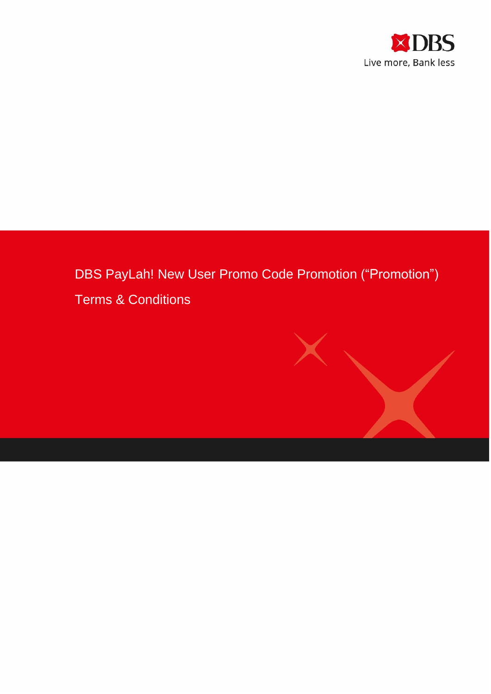

# DBS PayLah! New User Promo Code Promotion ("Promotion")



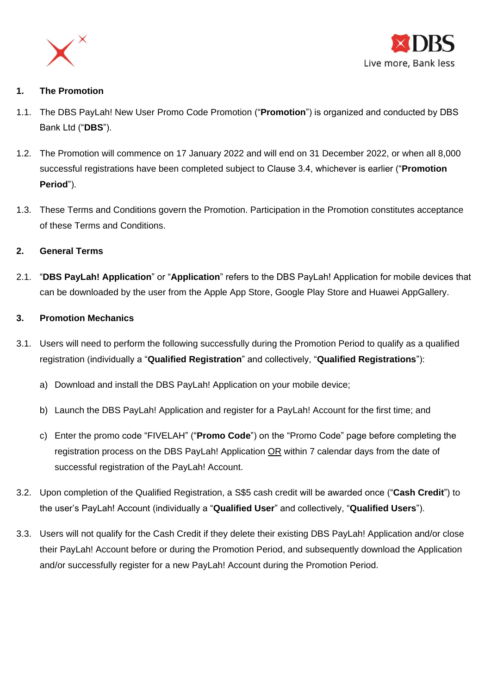



## **1. The Promotion**

- 1.1. The DBS PayLah! New User Promo Code Promotion ("**Promotion**") is organized and conducted by DBS Bank Ltd ("**DBS**").
- 1.2. The Promotion will commence on 17 January 2022 and will end on 31 December 2022, or when all 8,000 successful registrations have been completed subject to Clause 3.4, whichever is earlier ("**Promotion Period**").
- 1.3. These Terms and Conditions govern the Promotion. Participation in the Promotion constitutes acceptance of these Terms and Conditions.

## **2. General Terms**

2.1. "**DBS PayLah! Application**" or "**Application**" refers to the DBS PayLah! Application for mobile devices that can be downloaded by the user from the Apple App Store, Google Play Store and Huawei AppGallery.

### **3. Promotion Mechanics**

- 3.1. Users will need to perform the following successfully during the Promotion Period to qualify as a qualified registration (individually a "**Qualified Registration**" and collectively, "**Qualified Registrations**"):
	- a) Download and install the DBS PayLah! Application on your mobile device;
	- b) Launch the DBS PayLah! Application and register for a PayLah! Account for the first time; and
	- c) Enter the promo code "FIVELAH" ("**Promo Code**") on the "Promo Code" page before completing the registration process on the DBS PayLah! Application OR within 7 calendar days from the date of successful registration of the PayLah! Account.
- 3.2. Upon completion of the Qualified Registration, a S\$5 cash credit will be awarded once ("**Cash Credit**") to the user's PayLah! Account (individually a "**Qualified User**" and collectively, "**Qualified Users**").
- 3.3. Users will not qualify for the Cash Credit if they delete their existing DBS PayLah! Application and/or close their PayLah! Account before or during the Promotion Period, and subsequently download the Application and/or successfully register for a new PayLah! Account during the Promotion Period.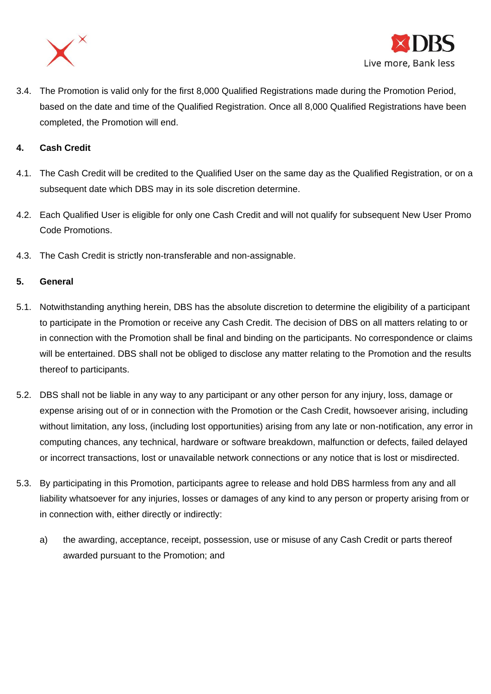



3.4. The Promotion is valid only for the first 8,000 Qualified Registrations made during the Promotion Period, based on the date and time of the Qualified Registration. Once all 8,000 Qualified Registrations have been completed, the Promotion will end.

#### **4. Cash Credit**

- 4.1. The Cash Credit will be credited to the Qualified User on the same day as the Qualified Registration, or on a subsequent date which DBS may in its sole discretion determine.
- 4.2. Each Qualified User is eligible for only one Cash Credit and will not qualify for subsequent New User Promo Code Promotions.
- 4.3. The Cash Credit is strictly non-transferable and non-assignable.

#### **5. General**

- 5.1. Notwithstanding anything herein, DBS has the absolute discretion to determine the eligibility of a participant to participate in the Promotion or receive any Cash Credit. The decision of DBS on all matters relating to or in connection with the Promotion shall be final and binding on the participants. No correspondence or claims will be entertained. DBS shall not be obliged to disclose any matter relating to the Promotion and the results thereof to participants.
- 5.2. DBS shall not be liable in any way to any participant or any other person for any injury, loss, damage or expense arising out of or in connection with the Promotion or the Cash Credit, howsoever arising, including without limitation, any loss, (including lost opportunities) arising from any late or non-notification, any error in computing chances, any technical, hardware or software breakdown, malfunction or defects, failed delayed or incorrect transactions, lost or unavailable network connections or any notice that is lost or misdirected.
- 5.3. By participating in this Promotion, participants agree to release and hold DBS harmless from any and all liability whatsoever for any injuries, losses or damages of any kind to any person or property arising from or in connection with, either directly or indirectly:
	- a) the awarding, acceptance, receipt, possession, use or misuse of any Cash Credit or parts thereof awarded pursuant to the Promotion; and